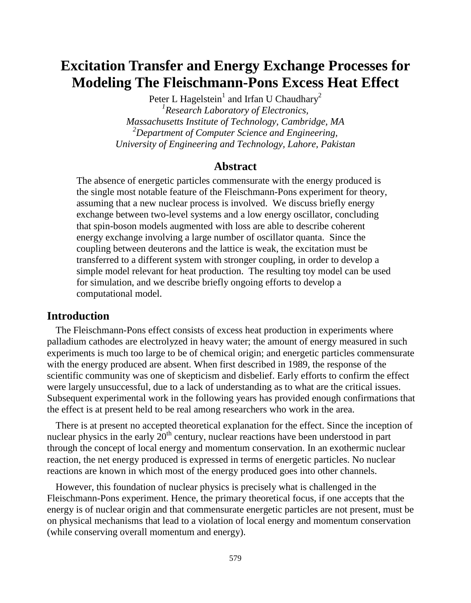# **Excitation Transfer and Energy Exchange Processes for Modeling The Fleischmann-Pons Excess Heat Effect**

Peter L Hagelstein<sup>1</sup> and Irfan U Chaudhary<sup>2</sup> *1 Research Laboratory of Electronics, Massachusetts Institute of Technology, Cambridge, MA <sup>2</sup>Department of Computer Science and Engineering, University of Engineering and Technology, Lahore, Pakistan*

## **Abstract**

The absence of energetic particles commensurate with the energy produced is the single most notable feature of the Fleischmann-Pons experiment for theory, assuming that a new nuclear process is involved. We discuss briefly energy exchange between two-level systems and a low energy oscillator, concluding that spin-boson models augmented with loss are able to describe coherent energy exchange involving a large number of oscillator quanta. Since the coupling between deuterons and the lattice is weak, the excitation must be transferred to a different system with stronger coupling, in order to develop a simple model relevant for heat production. The resulting toy model can be used for simulation, and we describe briefly ongoing efforts to develop a computational model.

## **Introduction**

The Fleischmann-Pons effect consists of excess heat production in experiments where palladium cathodes are electrolyzed in heavy water; the amount of energy measured in such experiments is much too large to be of chemical origin; and energetic particles commensurate with the energy produced are absent. When first described in 1989, the response of the scientific community was one of skepticism and disbelief. Early efforts to confirm the effect were largely unsuccessful, due to a lack of understanding as to what are the critical issues. Subsequent experimental work in the following years has provided enough confirmations that the effect is at present held to be real among researchers who work in the area.

There is at present no accepted theoretical explanation for the effect. Since the inception of nuclear physics in the early  $20<sup>th</sup>$  century, nuclear reactions have been understood in part through the concept of local energy and momentum conservation. In an exothermic nuclear reaction, the net energy produced is expressed in terms of energetic particles. No nuclear reactions are known in which most of the energy produced goes into other channels.

However, this foundation of nuclear physics is precisely what is challenged in the Fleischmann-Pons experiment. Hence, the primary theoretical focus, if one accepts that the energy is of nuclear origin and that commensurate energetic particles are not present, must be on physical mechanisms that lead to a violation of local energy and momentum conservation (while conserving overall momentum and energy).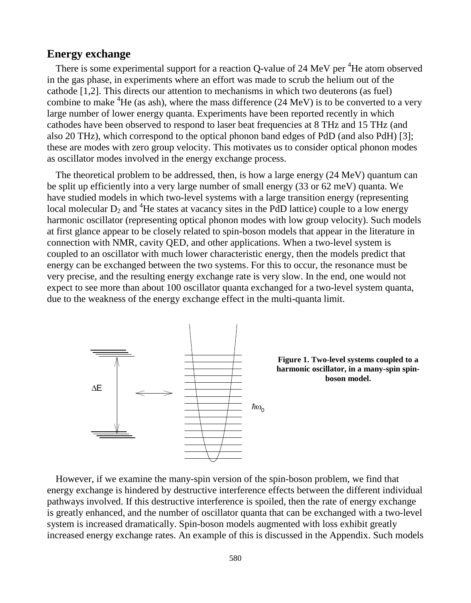#### **Energy exchange**

There is some experimental support for a reaction Q-value of  $24$  MeV per  ${}^{4}$ He atom observed in the gas phase, in experiments where an effort was made to scrub the helium out of the cathode [1,2]. This directs our attention to mechanisms in which two deuterons (as fuel) combine to make <sup>4</sup>He (as ash), where the mass difference  $(24 \text{ MeV})$  is to be converted to a very large number of lower energy quanta. Experiments have been reported recently in which cathodes have been observed to respond to laser beat frequencies at 8 THz and 15 THz (and also 20 THz), which correspond to the optical phonon band edges of PdD (and also PdH) [3]; these are modes with zero group velocity. This motivates us to consider optical phonon modes as oscillator modes involved in the energy exchange process.

The theoretical problem to be addressed, then, is how a large energy (24 MeV) quantum can be split up efficiently into a very large number of small energy (33 or 62 meV) quanta. We have studied models in which two-level systems with a large transition energy (representing local molecular  $D_2$  and <sup>4</sup>He states at vacancy sites in the PdD lattice) couple to a low energy harmonic oscillator (representing optical phonon modes with low group velocity). Such models at first glance appear to be closely related to spin-boson models that appear in the literature in connection with NMR, cavity QED, and other applications. When a two-level system is coupled to an oscillator with much lower characteristic energy, then the models predict that energy can be exchanged between the two systems. For this to occur, the resonance must be very precise, and the resulting energy exchange rate is very slow. In the end, one would not expect to see more than about 100 oscillator quanta exchanged for a two-level system quanta, due to the weakness of the energy exchange effect in the multi-quanta limit.



However, if we examine the many-spin version of the spin-boson problem, we find that energy exchange is hindered by destructive interference effects between the different individual pathways involved. If this destructive interference is spoiled, then the rate of energy exchange is greatly enhanced, and the number of oscillator quanta that can be exchanged with a two-level system is increased dramatically. Spin-boson models augmented with loss exhibit greatly increased energy exchange rates. An example of this is discussed in the Appendix. Such models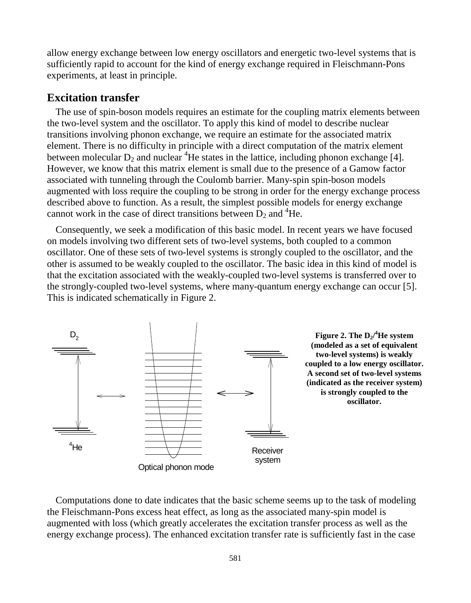allow energy exchange between low energy oscillators and energetic two-level systems that is sufficiently rapid to account for the kind of energy exchange required in Fleischmann-Pons experiments, at least in principle.

## **Excitation transfer**

The use of spin-boson models requires an estimate for the coupling matrix elements between the two-level system and the oscillator. To apply this kind of model to describe nuclear transitions involving phonon exchange, we require an estimate for the associated matrix element. There is no difficulty in principle with a direct computation of the matrix element between molecular  $D_2$  and nuclear <sup>4</sup>He states in the lattice, including phonon exchange [4]. However, we know that this matrix element is small due to the presence of a Gamow factor associated with tunneling through the Coulomb barrier. Many-spin spin-boson models augmented with loss require the coupling to be strong in order for the energy exchange process described above to function. As a result, the simplest possible models for energy exchange cannot work in the case of direct transitions between  $D_2$  and <sup>4</sup>He.

Consequently, we seek a modification of this basic model. In recent years we have focused on models involving two different sets of two-level systems, both coupled to a common oscillator. One of these sets of two-level systems is strongly coupled to the oscillator, and the other is assumed to be weakly coupled to the oscillator. The basic idea in this kind of model is that the excitation associated with the weakly-coupled two-level systems is transferred over to the strongly-coupled two-level systems, where many-quantum energy exchange can occur [5]. This is indicated schematically in Figure 2.



Computations done to date indicates that the basic scheme seems up to the task of modeling the Fleischmann-Pons excess heat effect, as long as the associated many-spin model is augmented with loss (which greatly accelerates the excitation transfer process as well as the energy exchange process). The enhanced excitation transfer rate is sufficiently fast in the case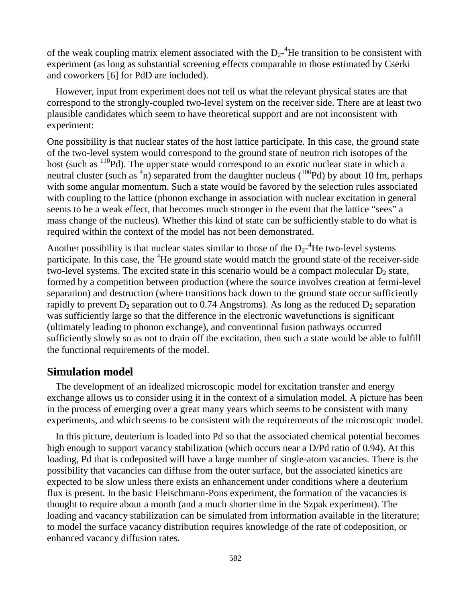of the weak coupling matrix element associated with the  $D_2$ - ${}^4$ He transition to be consistent with experiment (as long as substantial screening effects comparable to those estimated by Cserki and coworkers [6] for PdD are included).

However, input from experiment does not tell us what the relevant physical states are that correspond to the strongly-coupled two-level system on the receiver side. There are at least two plausible candidates which seem to have theoretical support and are not inconsistent with experiment:

One possibility is that nuclear states of the host lattice participate. In this case, the ground state of the two-level system would correspond to the ground state of neutron rich isotopes of the host (such as <sup>110</sup>Pd). The upper state would correspond to an exotic nuclear state in which a neutral cluster (such as  $\binom{4}{10}$  separated from the daughter nucleus ( $\binom{106}{10}$  by about 10 fm, perhaps with some angular momentum. Such a state would be favored by the selection rules associated with coupling to the lattice (phonon exchange in association with nuclear excitation in general seems to be a weak effect, that becomes much stronger in the event that the lattice "sees" a mass change of the nucleus). Whether this kind of state can be sufficiently stable to do what is required within the context of the model has not been demonstrated.

Another possibility is that nuclear states similar to those of the  $D_2$ -<sup>4</sup>He two-level systems participate. In this case, the <sup>4</sup>He ground state would match the ground state of the receiver-side two-level systems. The excited state in this scenario would be a compact molecular  $D_2$  state, formed by a competition between production (where the source involves creation at fermi-level separation) and destruction (where transitions back down to the ground state occur sufficiently rapidly to prevent  $D_2$  separation out to 0.74 Angstroms). As long as the reduced  $D_2$  separation was sufficiently large so that the difference in the electronic wavefunctions is significant (ultimately leading to phonon exchange), and conventional fusion pathways occurred sufficiently slowly so as not to drain off the excitation, then such a state would be able to fulfill the functional requirements of the model.

#### **Simulation model**

The development of an idealized microscopic model for excitation transfer and energy exchange allows us to consider using it in the context of a simulation model. A picture has been in the process of emerging over a great many years which seems to be consistent with many experiments, and which seems to be consistent with the requirements of the microscopic model.

In this picture, deuterium is loaded into Pd so that the associated chemical potential becomes high enough to support vacancy stabilization (which occurs near a D/Pd ratio of 0.94). At this loading, Pd that is codeposited will have a large number of single-atom vacancies. There is the possibility that vacancies can diffuse from the outer surface, but the associated kinetics are expected to be slow unless there exists an enhancement under conditions where a deuterium flux is present. In the basic Fleischmann-Pons experiment, the formation of the vacancies is thought to require about a month (and a much shorter time in the Szpak experiment). The loading and vacancy stabilization can be simulated from information available in the literature; to model the surface vacancy distribution requires knowledge of the rate of codeposition, or enhanced vacancy diffusion rates.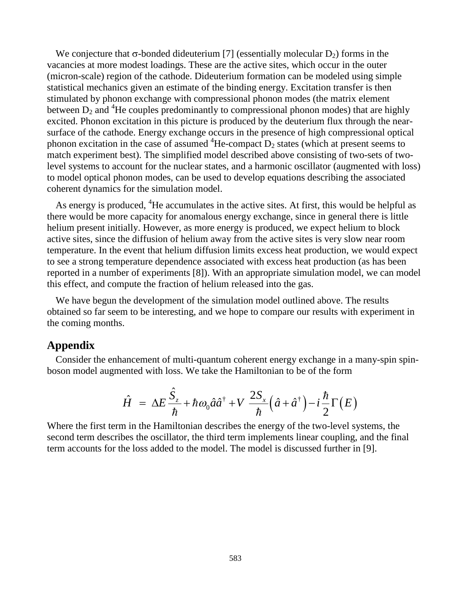We conjecture that  $\sigma$ -bonded dideuterium [7] (essentially molecular D<sub>2</sub>) forms in the vacancies at more modest loadings. These are the active sites, which occur in the outer (micron-scale) region of the cathode. Dideuterium formation can be modeled using simple statistical mechanics given an estimate of the binding energy. Excitation transfer is then stimulated by phonon exchange with compressional phonon modes (the matrix element between  $D_2$  and <sup>4</sup>He couples predominantly to compressional phonon modes) that are highly excited. Phonon excitation in this picture is produced by the deuterium flux through the nearsurface of the cathode. Energy exchange occurs in the presence of high compressional optical phonon excitation in the case of assumed  ${}^{4}$ He-compact  $D_2$  states (which at present seems to match experiment best). The simplified model described above consisting of two-sets of twolevel systems to account for the nuclear states, and a harmonic oscillator (augmented with loss) to model optical phonon modes, can be used to develop equations describing the associated coherent dynamics for the simulation model.

As energy is produced, <sup>4</sup>He accumulates in the active sites. At first, this would be helpful as there would be more capacity for anomalous energy exchange, since in general there is little helium present initially. However, as more energy is produced, we expect helium to block active sites, since the diffusion of helium away from the active sites is very slow near room temperature. In the event that helium diffusion limits excess heat production, we would expect to see a strong temperature dependence associated with excess heat production (as has been reported in a number of experiments [8]). With an appropriate simulation model, we can model this effect, and compute the fraction of helium released into the gas.

We have begun the development of the simulation model outlined above. The results obtained so far seem to be interesting, and we hope to compare our results with experiment in the coming months.

## **Appendix**

Consider the enhancement of multi-quantum coherent energy exchange in a many-spin spinboson model augmented with loss. We take the Hamiltonian to be of the form

$$
\hat{H} = \Delta E \frac{\hat{S}_z}{\hbar} + \hbar \omega_0 \hat{a} \hat{a}^{\dagger} + V \frac{2S_x}{\hbar} (\hat{a} + \hat{a}^{\dagger}) - i \frac{\hbar}{2} \Gamma(E)
$$

Where the first term in the Hamiltonian describes the energy of the two-level systems, the second term describes the oscillator, the third term implements linear coupling, and the final term accounts for the loss added to the model. The model is discussed further in [9].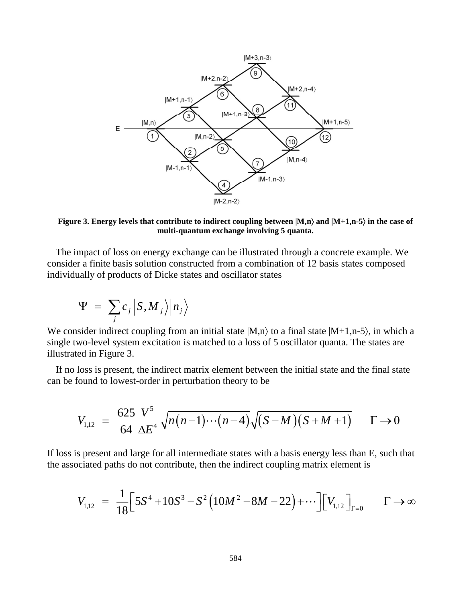

**Figure 3. Energy levels that contribute to indirect coupling between |M,n and |M+1,n-5 in the case of multi-quantum exchange involving 5 quanta.**

The impact of loss on energy exchange can be illustrated through a concrete example. We consider a finite basis solution constructed from a combination of 12 basis states composed individually of products of Dicke states and oscillator states

$$
\Psi = \sum_j c_j \Big| S, M_j \Big\rangle \Big| n_j \Big\rangle
$$

We consider indirect coupling from an initial state  $|M,n\rangle$  to a final state  $|M+1,n-5\rangle$ , in which a single two-level system excitation is matched to a loss of 5 oscillator quanta. The states are illustrated in Figure 3.

If no loss is present, the indirect matrix element between the initial state and the final state can be found to lowest-order in perturbation theory to be

$$
V_{1,12} = \frac{625}{64} \frac{V^5}{\Delta E^4} \sqrt{n(n-1)\cdots(n-4)} \sqrt{(S-M)(S+M+1)} \qquad \Gamma \to 0
$$

If loss is present and large for all intermediate states with a basis energy less than E, such that the associated paths do not contribute, then the indirect coupling matrix element is

$$
V_{1,12} = \frac{1}{18} \Big[ 5S^4 + 10S^3 - S^2 \Big( 10M^2 - 8M - 22 \Big) + \cdots \Big] \Big[ V_{1,12} \Big]_{\Gamma = 0} \qquad \Gamma \to \infty
$$